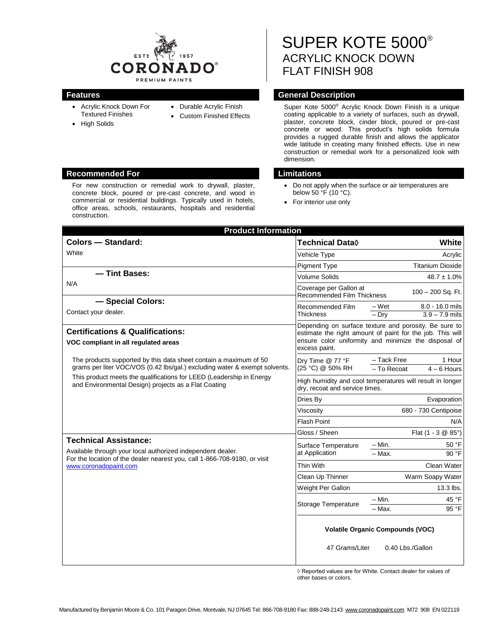

- Acrylic Knock Down For Textured Finishes
- High Solids
- Durable Acrylic Finish
- Custom Finished Effects

# SUPER KOTE 5000® ACRYLIC KNOCK DOWN FLAT FINISH 908

#### **Features Features General Description**

Super Kote 5000® Acrylic Knock Down Finish is a unique coating applicable to a variety of surfaces, such as drywall, plaster, concrete block, cinder block, poured or pre-cast concrete or wood. This product's high solids formula provides a rugged durable finish and allows the applicator wide latitude in creating many finished effects. Use in new construction or remedial work for a personalized look with dimension.

- Do not apply when the surface or air temperatures are below  $50 \text{°F}$  (10 °C).
- For interior use only

| <b>Product Information</b>                                                                                                                                                                                                                                                                                                                                                                                                                                                           |                                                                                                                                                                                             |                                                       |
|--------------------------------------------------------------------------------------------------------------------------------------------------------------------------------------------------------------------------------------------------------------------------------------------------------------------------------------------------------------------------------------------------------------------------------------------------------------------------------------|---------------------------------------------------------------------------------------------------------------------------------------------------------------------------------------------|-------------------------------------------------------|
| <b>Colors - Standard:</b>                                                                                                                                                                                                                                                                                                                                                                                                                                                            | Technical Data◊                                                                                                                                                                             | White                                                 |
| White                                                                                                                                                                                                                                                                                                                                                                                                                                                                                | Vehicle Type                                                                                                                                                                                | Acrylic                                               |
|                                                                                                                                                                                                                                                                                                                                                                                                                                                                                      | <b>Pigment Type</b>                                                                                                                                                                         | <b>Titanium Dioxide</b>                               |
| - Tint Bases:<br>N/A<br>- Special Colors:<br>Contact your dealer.                                                                                                                                                                                                                                                                                                                                                                                                                    | <b>Volume Solids</b>                                                                                                                                                                        | $48.7 \pm 1.0\%$                                      |
|                                                                                                                                                                                                                                                                                                                                                                                                                                                                                      | Coverage per Gallon at<br><b>Recommended Film Thickness</b>                                                                                                                                 | 100 - 200 Sq. Ft.                                     |
|                                                                                                                                                                                                                                                                                                                                                                                                                                                                                      | Recommended Film<br>Thickness                                                                                                                                                               | 8.0 - 16.0 mils<br>– Wet                              |
|                                                                                                                                                                                                                                                                                                                                                                                                                                                                                      |                                                                                                                                                                                             | $3.9 - 7.9$ mils<br>$-$ Dry                           |
| <b>Certifications &amp; Qualifications:</b><br>VOC compliant in all regulated areas                                                                                                                                                                                                                                                                                                                                                                                                  | Depending on surface texture and porosity. Be sure to<br>estimate the right amount of paint for the job. This will<br>ensure color uniformity and minimize the disposal of<br>excess paint. |                                                       |
| The products supported by this data sheet contain a maximum of 50<br>grams per liter VOC/VOS (0.42 lbs/gal.) excluding water & exempt solvents.<br>This product meets the qualifications for LEED (Leadership in Energy<br>and Environmental Design) projects as a Flat Coating<br><b>Technical Assistance:</b><br>Available through your local authorized independent dealer.<br>For the location of the dealer nearest you, call 1-866-708-9180, or visit<br>www.coronadopaint.com | Dry Time @ 77 °F<br>(25 °C) @ 50% RH                                                                                                                                                        | - Tack Free<br>1 Hour<br>- To Recoat<br>$4 - 6$ Hours |
|                                                                                                                                                                                                                                                                                                                                                                                                                                                                                      | High humidity and cool temperatures will result in longer<br>dry, recoat and service times.                                                                                                 |                                                       |
|                                                                                                                                                                                                                                                                                                                                                                                                                                                                                      | Dries By                                                                                                                                                                                    | Evaporation                                           |
|                                                                                                                                                                                                                                                                                                                                                                                                                                                                                      | Viscosity                                                                                                                                                                                   | 680 - 730 Centipoise                                  |
|                                                                                                                                                                                                                                                                                                                                                                                                                                                                                      | <b>Flash Point</b>                                                                                                                                                                          | N/A                                                   |
|                                                                                                                                                                                                                                                                                                                                                                                                                                                                                      | Gloss / Sheen                                                                                                                                                                               | Flat (1 - 3 @ 85°)                                    |
|                                                                                                                                                                                                                                                                                                                                                                                                                                                                                      | Surface Temperature<br>at Application                                                                                                                                                       | – Min.<br>50 °F                                       |
|                                                                                                                                                                                                                                                                                                                                                                                                                                                                                      |                                                                                                                                                                                             | $\overline{-}$ Max.<br>90°F                           |
|                                                                                                                                                                                                                                                                                                                                                                                                                                                                                      | Thin With                                                                                                                                                                                   | Clean Water                                           |
|                                                                                                                                                                                                                                                                                                                                                                                                                                                                                      | Clean Up Thinner                                                                                                                                                                            | Warm Soapy Water                                      |
|                                                                                                                                                                                                                                                                                                                                                                                                                                                                                      | Weight Per Gallon                                                                                                                                                                           | 13.3 lbs.                                             |
|                                                                                                                                                                                                                                                                                                                                                                                                                                                                                      | Storage Temperature                                                                                                                                                                         | $-$ Min.<br>45 °F                                     |
|                                                                                                                                                                                                                                                                                                                                                                                                                                                                                      |                                                                                                                                                                                             | 95 °F<br>– Max.                                       |
|                                                                                                                                                                                                                                                                                                                                                                                                                                                                                      | <b>Volatile Organic Compounds (VOC)</b><br>47 Grams/Liter<br>0.40 Lbs./Gallon                                                                                                               |                                                       |
|                                                                                                                                                                                                                                                                                                                                                                                                                                                                                      |                                                                                                                                                                                             |                                                       |

◊ Reported values are for White. Contact dealer for values of other bases or colors.

#### **Recommended For Limitations**

For new construction or remedial work to drywall, plaster, concrete block, poured or pre-cast concrete, and wood in commercial or residential buildings. Typically used in hotels, office areas, schools, restaurants, hospitals and residential construction.